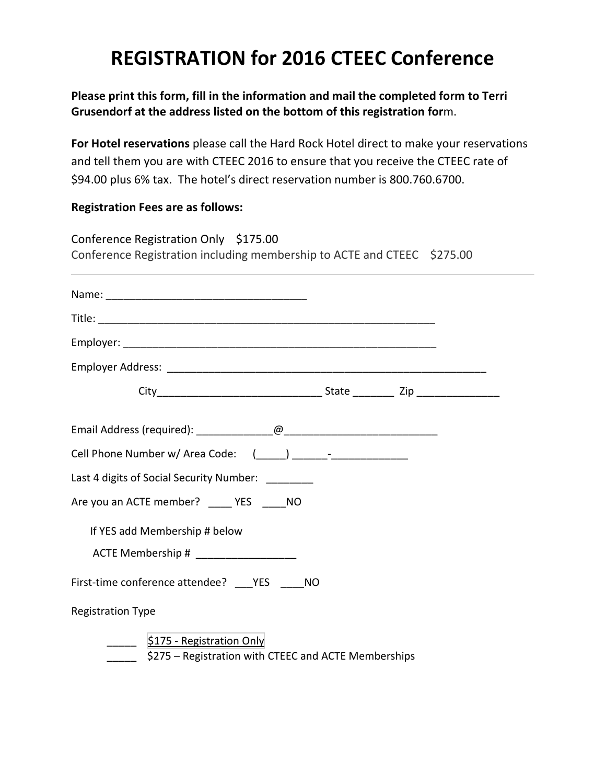## **REGISTRATION for 2016 CTEEC Conference**

**Please print this form, fill in the information and mail the completed form to Terri Grusendorf at the address listed on the bottom of this registration for**m.

**For Hotel reservations** please call the Hard Rock Hotel direct to make your reservations and tell them you are with CTEEC 2016 to ensure that you receive the CTEEC rate of \$94.00 plus 6% tax. The hotel's direct reservation number is 800.760.6700.

## **Registration Fees are as follows:**

|                          | Conference Registration Only \$175.00                                   |  |  |
|--------------------------|-------------------------------------------------------------------------|--|--|
|                          | Conference Registration including membership to ACTE and CTEEC \$275.00 |  |  |
|                          |                                                                         |  |  |
|                          |                                                                         |  |  |
|                          |                                                                         |  |  |
|                          |                                                                         |  |  |
|                          |                                                                         |  |  |
|                          |                                                                         |  |  |
|                          |                                                                         |  |  |
|                          | Last 4 digits of Social Security Number: _______                        |  |  |
|                          | Are you an ACTE member? _____ YES _____ NO                              |  |  |
|                          | If YES add Membership # below                                           |  |  |
|                          | ACTE Membership # _____________________                                 |  |  |
|                          | First-time conference attendee? ___YES ____NO                           |  |  |
| <b>Registration Type</b> |                                                                         |  |  |
|                          | \$175 - Registration Only                                               |  |  |
|                          | \$275 - Registration with CTEEC and ACTE Memberships                    |  |  |